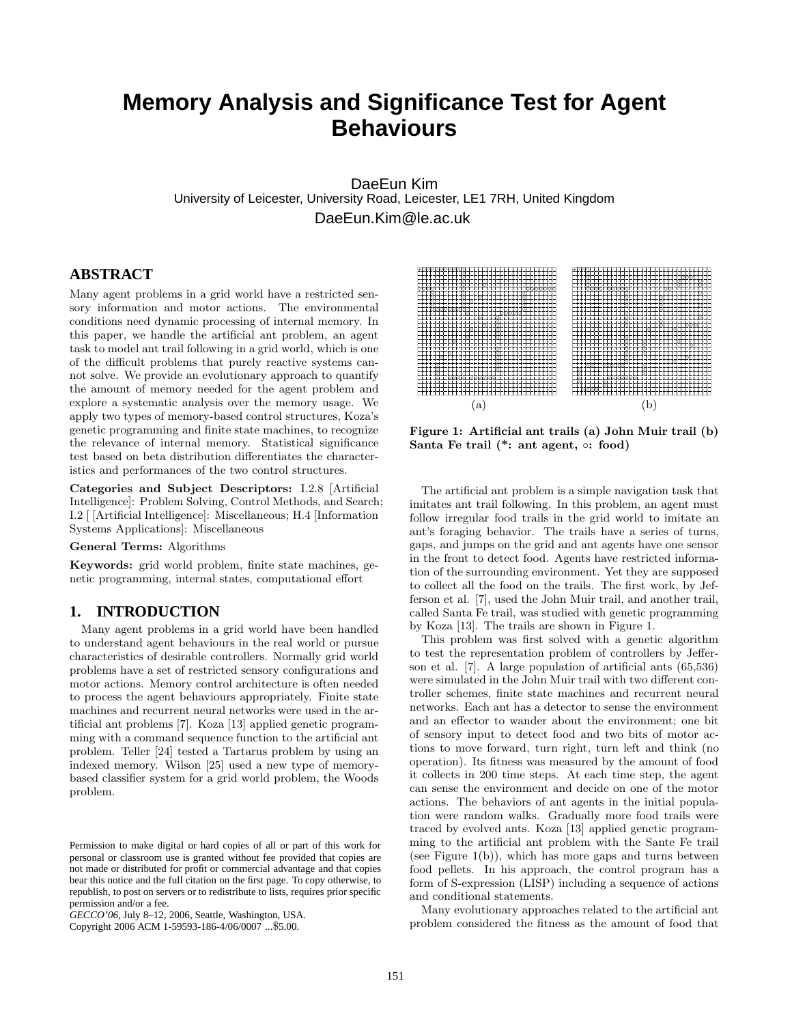# **Memory Analysis and Significance Test for Agent Behaviours**

DaeEun Kim University of Leicester, University Road, Leicester, LE1 7RH, United Kingdom DaeEun.Kim@le.ac.uk

## **ABSTRACT**

Many agent problems in a grid world have a restricted sensory information and motor actions. The environmental conditions need dynamic processing of internal memory. In this paper, we handle the artificial ant problem, an agent task to model ant trail following in a grid world, which is one of the difficult problems that purely reactive systems cannot solve. We provide an evolutionary approach to quantify the amount of memory needed for the agent problem and explore a systematic analysis over the memory usage. We apply two types of memory-based control structures, Koza's genetic programming and finite state machines, to recognize the relevance of internal memory. Statistical significance test based on beta distribution differentiates the characteristics and performances of the two control structures.

**Categories and Subject Descriptors:** I.2.8 [Artificial Intelligence]: Problem Solving, Control Methods, and Search; I.2 [ [Artificial Intelligence]: Miscellaneous; H.4 [Information Systems Applications]: Miscellaneous

#### **General Terms:** Algorithms

**Keywords:** grid world problem, finite state machines, genetic programming, internal states, computational effort

#### **1. INTRODUCTION**

Many agent problems in a grid world have been handled to understand agent behaviours in the real world or pursue characteristics of desirable controllers. Normally grid world problems have a set of restricted sensory configurations and motor actions. Memory control architecture is often needed to process the agent behaviours appropriately. Finite state machines and recurrent neural networks were used in the artificial ant problems [7]. Koza [13] applied genetic programming with a command sequence function to the artificial ant problem. Teller [24] tested a Tartarus problem by using an indexed memory. Wilson [25] used a new type of memorybased classifier system for a grid world problem, the Woods problem.



**Figure 1: Artificial ant trails (a) John Muir trail (b) Santa Fe trail (\*: ant agent,** ◦**: food)**

The artificial ant problem is a simple navigation task that imitates ant trail following. In this problem, an agent must follow irregular food trails in the grid world to imitate an ant's foraging behavior. The trails have a series of turns, gaps, and jumps on the grid and ant agents have one sensor in the front to detect food. Agents have restricted information of the surrounding environment. Yet they are supposed to collect all the food on the trails. The first work, by Jefferson et al. [7], used the John Muir trail, and another trail, called Santa Fe trail, was studied with genetic programming by Koza [13]. The trails are shown in Figure 1.

This problem was first solved with a genetic algorithm to test the representation problem of controllers by Jefferson et al. [7]. A large population of artificial ants (65,536) were simulated in the John Muir trail with two different controller schemes, finite state machines and recurrent neural networks. Each ant has a detector to sense the environment and an effector to wander about the environment; one bit of sensory input to detect food and two bits of motor actions to move forward, turn right, turn left and think (no operation). Its fitness was measured by the amount of food it collects in 200 time steps. At each time step, the agent can sense the environment and decide on one of the motor actions. The behaviors of ant agents in the initial population were random walks. Gradually more food trails were traced by evolved ants. Koza [13] applied genetic programming to the artificial ant problem with the Sante Fe trail (see Figure  $1(b)$ ), which has more gaps and turns between food pellets. In his approach, the control program has a form of S-expression (LISP) including a sequence of actions and conditional statements.

Many evolutionary approaches related to the artificial ant problem considered the fitness as the amount of food that

Permission to make digital or hard copies of all or part of this work for personal or classroom use is granted without fee provided that copies are not made or distributed for profit or commercial advantage and that copies bear this notice and the full citation on the first page. To copy otherwise, to republish, to post on servers or to redistribute to lists, requires prior specific permission and/or a fee.

*GECCO'06,* July 8–12, 2006, Seattle, Washington, USA.

Copyright 2006 ACM 1-59593-186-4/06/0007 ...\$5.00.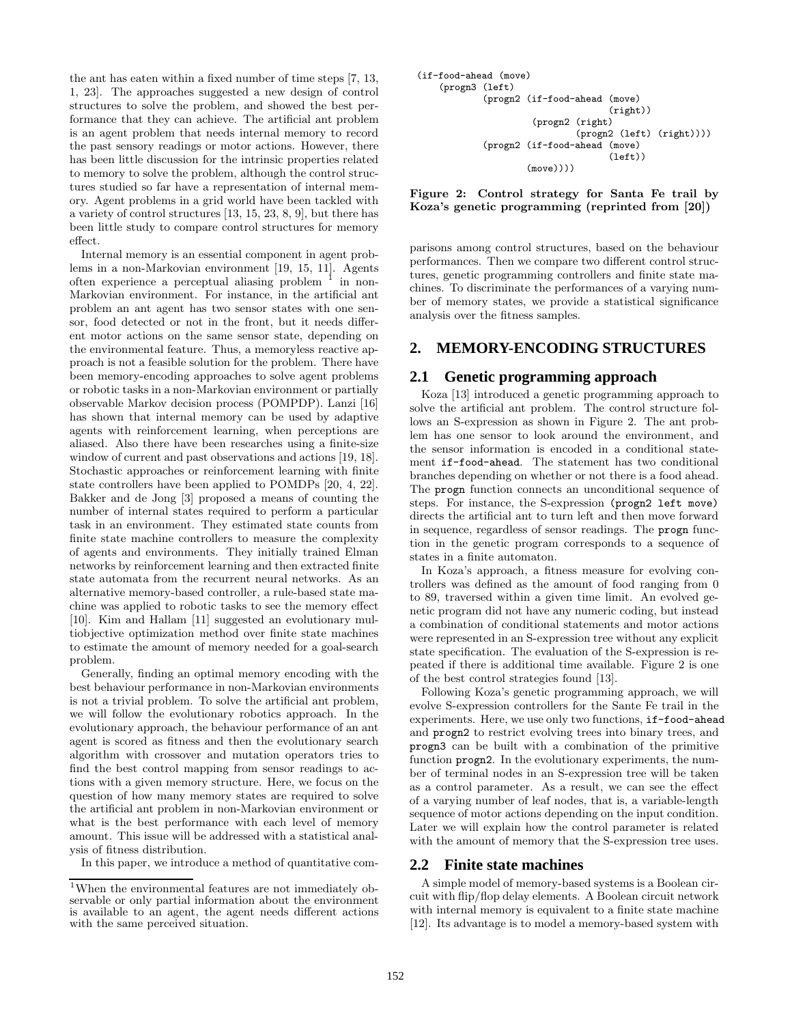the ant has eaten within a fixed number of time steps [7, 13, 1, 23]. The approaches suggested a new design of control structures to solve the problem, and showed the best performance that they can achieve. The artificial ant problem is an agent problem that needs internal memory to record the past sensory readings or motor actions. However, there has been little discussion for the intrinsic properties related to memory to solve the problem, although the control structures studied so far have a representation of internal memory. Agent problems in a grid world have been tackled with a variety of control structures [13, 15, 23, 8, 9], but there has been little study to compare control structures for memory effect.

Internal memory is an essential component in agent problems in a non-Markovian environment [19, 15, 11]. Agents often experience a perceptual aliasing problem  $\frac{1}{1}$  in non-Markovian environment. For instance, in the artificial ant problem an ant agent has two sensor states with one sensor, food detected or not in the front, but it needs different motor actions on the same sensor state, depending on the environmental feature. Thus, a memoryless reactive approach is not a feasible solution for the problem. There have been memory-encoding approaches to solve agent problems or robotic tasks in a non-Markovian environment or partially observable Markov decision process (POMPDP). Lanzi [16] has shown that internal memory can be used by adaptive agents with reinforcement learning, when perceptions are aliased. Also there have been researches using a finite-size window of current and past observations and actions [19, 18]. Stochastic approaches or reinforcement learning with finite state controllers have been applied to POMDPs [20, 4, 22]. Bakker and de Jong [3] proposed a means of counting the number of internal states required to perform a particular task in an environment. They estimated state counts from finite state machine controllers to measure the complexity of agents and environments. They initially trained Elman networks by reinforcement learning and then extracted finite state automata from the recurrent neural networks. As an alternative memory-based controller, a rule-based state machine was applied to robotic tasks to see the memory effect [10]. Kim and Hallam [11] suggested an evolutionary multiobjective optimization method over finite state machines to estimate the amount of memory needed for a goal-search problem.

Generally, finding an optimal memory encoding with the best behaviour performance in non-Markovian environments is not a trivial problem. To solve the artificial ant problem, we will follow the evolutionary robotics approach. In the evolutionary approach, the behaviour performance of an ant agent is scored as fitness and then the evolutionary search algorithm with crossover and mutation operators tries to find the best control mapping from sensor readings to actions with a given memory structure. Here, we focus on the question of how many memory states are required to solve the artificial ant problem in non-Markovian environment or what is the best performance with each level of memory amount. This issue will be addressed with a statistical analysis of fitness distribution.

In this paper, we introduce a method of quantitative com-



**Figure 2: Control strategy for Santa Fe trail by Koza's genetic programming (reprinted from [20])**

parisons among control structures, based on the behaviour performances. Then we compare two different control structures, genetic programming controllers and finite state machines. To discriminate the performances of a varying number of memory states, we provide a statistical significance analysis over the fitness samples.

## **2. MEMORY-ENCODING STRUCTURES**

#### **2.1 Genetic programming approach**

Koza [13] introduced a genetic programming approach to solve the artificial ant problem. The control structure follows an S-expression as shown in Figure 2. The ant problem has one sensor to look around the environment, and the sensor information is encoded in a conditional statement if-food-ahead. The statement has two conditional branches depending on whether or not there is a food ahead. The progn function connects an unconditional sequence of steps. For instance, the S-expression (progn2 left move) directs the artificial ant to turn left and then move forward in sequence, regardless of sensor readings. The progn function in the genetic program corresponds to a sequence of states in a finite automaton.

In Koza's approach, a fitness measure for evolving controllers was defined as the amount of food ranging from 0 to 89, traversed within a given time limit. An evolved genetic program did not have any numeric coding, but instead a combination of conditional statements and motor actions were represented in an S-expression tree without any explicit state specification. The evaluation of the S-expression is repeated if there is additional time available. Figure 2 is one of the best control strategies found [13].

Following Koza's genetic programming approach, we will evolve S-expression controllers for the Sante Fe trail in the experiments. Here, we use only two functions, if-food-ahead and progn2 to restrict evolving trees into binary trees, and progn3 can be built with a combination of the primitive function progn2. In the evolutionary experiments, the number of terminal nodes in an S-expression tree will be taken as a control parameter. As a result, we can see the effect of a varying number of leaf nodes, that is, a variable-length sequence of motor actions depending on the input condition. Later we will explain how the control parameter is related with the amount of memory that the S-expression tree uses.

#### **2.2 Finite state machines**

A simple model of memory-based systems is a Boolean circuit with flip/flop delay elements. A Boolean circuit network with internal memory is equivalent to a finite state machine [12]. Its advantage is to model a memory-based system with

<sup>1</sup>When the environmental features are not immediately observable or only partial information about the environment is available to an agent, the agent needs different actions with the same perceived situation.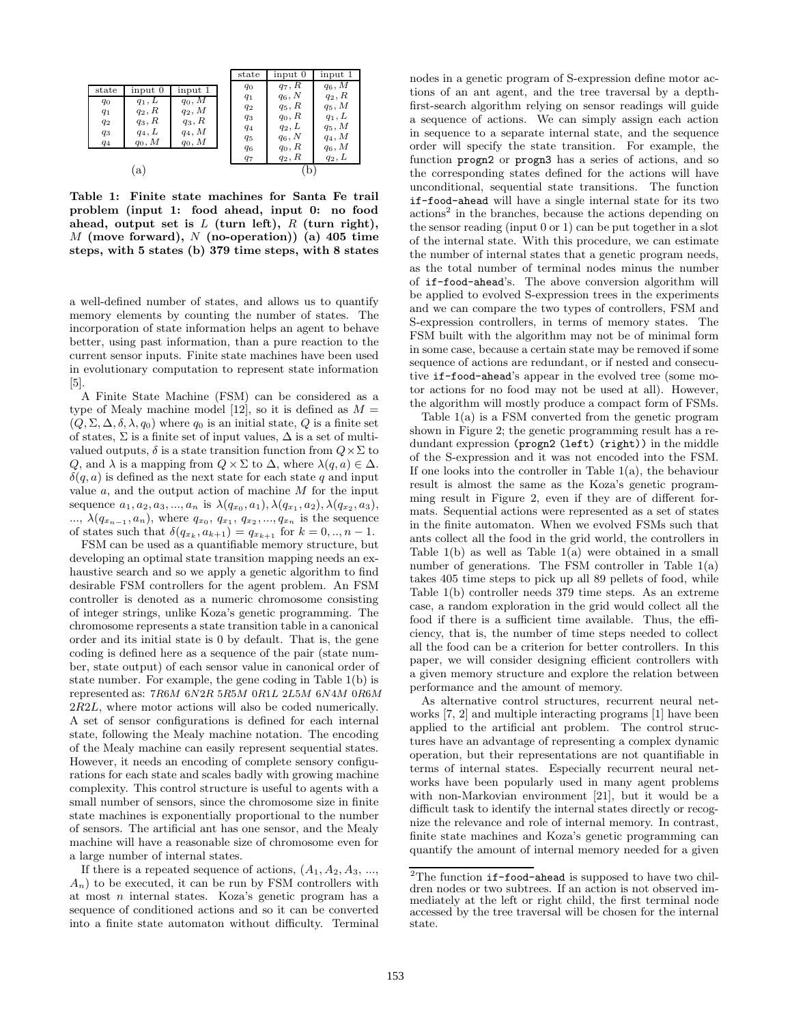|                |                     |                     | state          | input 0              | input 1              |
|----------------|---------------------|---------------------|----------------|----------------------|----------------------|
| state          | input 0             | input 1             | $q_0$          | $q_7, R$             | $q_6,M$              |
| $q_0$          | $q_1, L$            | $q_0, M$            | $q_1$<br>$q_2$ | $q_6, N$<br>$q_5, R$ | $q_2, R$<br>$q_5,M$  |
| $q_1$          | $q_2, R$            | $q_2, M$            | $q_3$          | $q_0, R$             | $q_1, L$             |
| $q_2$<br>$q_3$ | $q_3,R$<br>$q_4, L$ | $q_3,R$<br>$q_4, M$ | $q_4$          | $q_2, L$             | $q_5, M$             |
| $q_4$          | $q_0, M$            | $q_0, M$            | $q_5$          | $q_6, N$             | $q_4, M$             |
|                |                     |                     | $q_6$<br>$q_7$ | $q_0, R$<br>$q_2, R$ | $q_6, M$<br>$q_2, L$ |
| (a)            |                     |                     | l b            |                      |                      |

**Table 1: Finite state machines for Santa Fe trail problem (input 1: food ahead, input 0: no food ahead, output set is** L **(turn left),** R **(turn right),** M **(move forward),** N **(no-operation)) (a) 405 time steps, with 5 states (b) 379 time steps, with 8 states**

a well-defined number of states, and allows us to quantify memory elements by counting the number of states. The incorporation of state information helps an agent to behave better, using past information, than a pure reaction to the current sensor inputs. Finite state machines have been used in evolutionary computation to represent state information [5].

A Finite State Machine (FSM) can be considered as a type of Mealy machine model [12], so it is defined as  $M =$  $(Q, \Sigma, \Delta, \delta, \lambda, q_0)$  where  $q_0$  is an initial state, Q is a finite set of states,  $\Sigma$  is a finite set of input values,  $\Delta$  is a set of multivalued outputs,  $\delta$  is a state transition function from  $Q \times \Sigma$  to Q, and  $\lambda$  is a mapping from  $Q \times \Sigma$  to  $\Delta$ , where  $\lambda(q, a) \in \Delta$ .  $\delta(q, a)$  is defined as the next state for each state q and input value  $a$ , and the output action of machine  $M$  for the input sequence  $a_1, a_2, a_3, ..., a_n$  is  $\lambda(q_{x_0}, a_1), \lambda(q_{x_1}, a_2), \lambda(q_{x_2}, a_3),$ ...,  $\lambda(q_{x_{n-1}}, a_n)$ , where  $q_{x_0}, q_{x_1}, q_{x_2}, ..., q_{x_n}$  is the sequence of states such that  $\delta(q_{x_k}, a_{k+1}) = q_{x_{k+1}}$  for  $k = 0, ..., n-1$ .

FSM can be used as a quantifiable memory structure, but developing an optimal state transition mapping needs an exhaustive search and so we apply a genetic algorithm to find desirable FSM controllers for the agent problem. An FSM controller is denoted as a numeric chromosome consisting of integer strings, unlike Koza's genetic programming. The chromosome represents a state transition table in a canonical order and its initial state is 0 by default. That is, the gene coding is defined here as a sequence of the pair (state number, state output) of each sensor value in canonical order of state number. For example, the gene coding in Table 1(b) is represented as: 7*R*6*M* 6*N*2*R* 5*R*5*M* 0*R*1*L* 2*L*5*M* 6*N*4*M* 0*R*6*M* 2R2L, where motor actions will also be coded numerically. A set of sensor configurations is defined for each internal state, following the Mealy machine notation. The encoding of the Mealy machine can easily represent sequential states. However, it needs an encoding of complete sensory configurations for each state and scales badly with growing machine complexity. This control structure is useful to agents with a small number of sensors, since the chromosome size in finite state machines is exponentially proportional to the number of sensors. The artificial ant has one sensor, and the Mealy machine will have a reasonable size of chromosome even for a large number of internal states.

If there is a repeated sequence of actions,  $(A_1, A_2, A_3, \ldots, A_n)$  $A_n$ ) to be executed, it can be run by FSM controllers with at most  $n$  internal states. Koza's genetic program has a sequence of conditioned actions and so it can be converted into a finite state automaton without difficulty. Terminal nodes in a genetic program of S-expression define motor actions of an ant agent, and the tree traversal by a depthfirst-search algorithm relying on sensor readings will guide a sequence of actions. We can simply assign each action in sequence to a separate internal state, and the sequence order will specify the state transition. For example, the function progn2 or progn3 has a series of actions, and so the corresponding states defined for the actions will have unconditional, sequential state transitions. The function if-food-ahead will have a single internal state for its two  $\text{actions}^2$  in the branches, because the actions depending on the sensor reading (input 0 or 1) can be put together in a slot of the internal state. With this procedure, we can estimate the number of internal states that a genetic program needs, as the total number of terminal nodes minus the number of if-food-ahead's. The above conversion algorithm will be applied to evolved S-expression trees in the experiments and we can compare the two types of controllers, FSM and S-expression controllers, in terms of memory states. The FSM built with the algorithm may not be of minimal form in some case, because a certain state may be removed if some sequence of actions are redundant, or if nested and consecutive if-food-ahead's appear in the evolved tree (some motor actions for no food may not be used at all). However, the algorithm will mostly produce a compact form of FSMs.

Table 1(a) is a FSM converted from the genetic program shown in Figure 2; the genetic programming result has a redundant expression (progn2 (left) (right)) in the middle of the S-expression and it was not encoded into the FSM. If one looks into the controller in Table  $1(a)$ , the behaviour result is almost the same as the Koza's genetic programming result in Figure 2, even if they are of different formats. Sequential actions were represented as a set of states in the finite automaton. When we evolved FSMs such that ants collect all the food in the grid world, the controllers in Table 1(b) as well as Table 1(a) were obtained in a small number of generations. The FSM controller in Table 1(a) takes 405 time steps to pick up all 89 pellets of food, while Table 1(b) controller needs 379 time steps. As an extreme case, a random exploration in the grid would collect all the food if there is a sufficient time available. Thus, the efficiency, that is, the number of time steps needed to collect all the food can be a criterion for better controllers. In this paper, we will consider designing efficient controllers with a given memory structure and explore the relation between performance and the amount of memory.

As alternative control structures, recurrent neural networks [7, 2] and multiple interacting programs [1] have been applied to the artificial ant problem. The control structures have an advantage of representing a complex dynamic operation, but their representations are not quantifiable in terms of internal states. Especially recurrent neural networks have been popularly used in many agent problems with non-Markovian environment [21], but it would be a difficult task to identify the internal states directly or recognize the relevance and role of internal memory. In contrast, finite state machines and Koza's genetic programming can quantify the amount of internal memory needed for a given

 $2$ The function  $if$ -food-ahead is supposed to have two children nodes or two subtrees. If an action is not observed immediately at the left or right child, the first terminal node accessed by the tree traversal will be chosen for the internal state.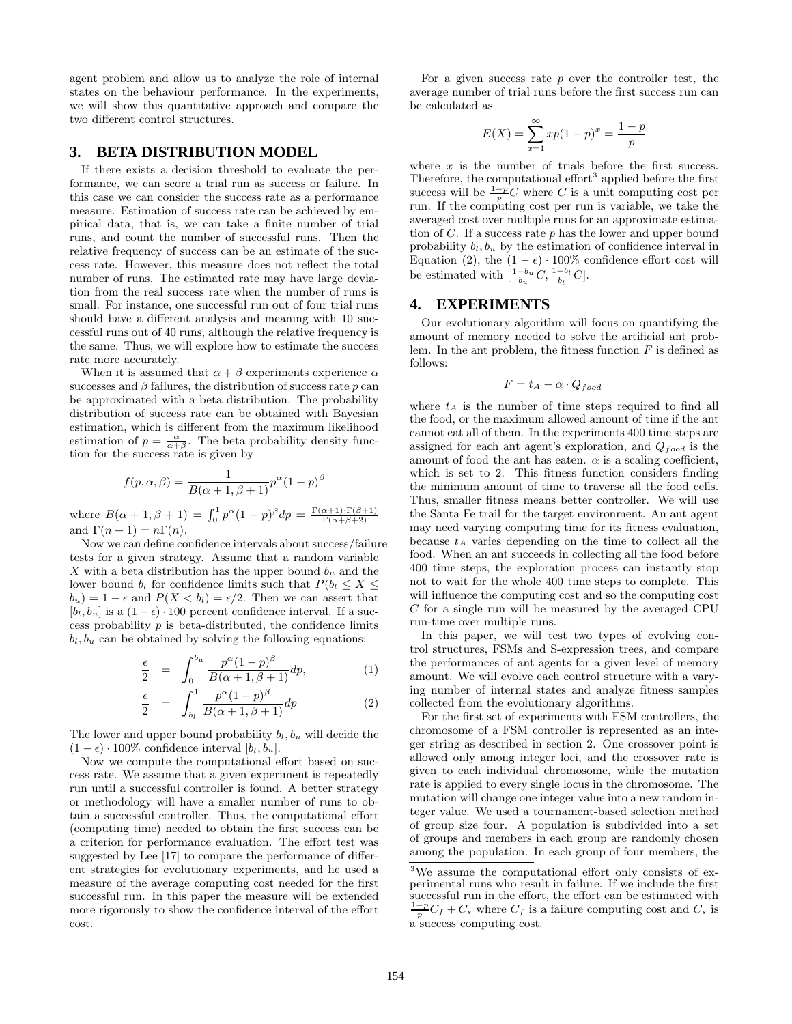agent problem and allow us to analyze the role of internal states on the behaviour performance. In the experiments, we will show this quantitative approach and compare the two different control structures.

## **3. BETA DISTRIBUTION MODEL**

If there exists a decision threshold to evaluate the performance, we can score a trial run as success or failure. In this case we can consider the success rate as a performance measure. Estimation of success rate can be achieved by empirical data, that is, we can take a finite number of trial runs, and count the number of successful runs. Then the relative frequency of success can be an estimate of the success rate. However, this measure does not reflect the total number of runs. The estimated rate may have large deviation from the real success rate when the number of runs is small. For instance, one successful run out of four trial runs should have a different analysis and meaning with 10 successful runs out of 40 runs, although the relative frequency is the same. Thus, we will explore how to estimate the success rate more accurately.

When it is assumed that  $\alpha + \beta$  experiments experience  $\alpha$ successes and  $\beta$  failures, the distribution of success rate  $p$  can be approximated with a beta distribution. The probability distribution of success rate can be obtained with Bayesian estimation, which is different from the maximum likelihood estimation of  $p = \frac{\alpha}{\alpha + \beta}$ . The beta probability density function for the success rate is given by

$$
f(p, \alpha, \beta) = \frac{1}{B(\alpha + 1, \beta + 1)} p^{\alpha} (1 - p)^{\beta}
$$

where  $B(\alpha+1,\beta+1) = \int_0^1 p^{\alpha}(1-p)^{\beta} dp = \frac{\Gamma(\alpha+1)\cdot\Gamma(\beta+1)}{\Gamma(\alpha+\beta+2)}$ and  $\Gamma(n+1) = n\Gamma(n)$ .

Now we can define confidence intervals about success/failure tests for a given strategy. Assume that a random variable X with a beta distribution has the upper bound  $b_u$  and the lower bound  $b_l$  for confidence limits such that  $P(b_l \leq X \leq$  $b_u$ ) = 1 –  $\epsilon$  and  $P(X < b_l) = \epsilon/2$ . Then we can assert that  $[b_l, b_u]$  is a  $(1 - \epsilon) \cdot 100$  percent confidence interval. If a success probability  $p$  is beta-distributed, the confidence limits  $b_l, b_u$  can be obtained by solving the following equations:

$$
\frac{\epsilon}{2} = \int_0^{b_u} \frac{p^{\alpha} (1-p)^{\beta}}{B(\alpha+1,\beta+1)} dp, \tag{1}
$$

$$
\frac{\epsilon}{2} = \int_{b_l}^{1} \frac{p^{\alpha} (1-p)^{\beta}}{B(\alpha+1, \beta+1)} dp \tag{2}
$$

The lower and upper bound probability  $b_l, b_u$  will decide the  $(1 - \epsilon) \cdot 100\%$  confidence interval  $[b_l, b_u]$ .

Now we compute the computational effort based on success rate. We assume that a given experiment is repeatedly run until a successful controller is found. A better strategy or methodology will have a smaller number of runs to obtain a successful controller. Thus, the computational effort (computing time) needed to obtain the first success can be a criterion for performance evaluation. The effort test was suggested by Lee [17] to compare the performance of different strategies for evolutionary experiments, and he used a measure of the average computing cost needed for the first successful run. In this paper the measure will be extended more rigorously to show the confidence interval of the effort cost.

For a given success rate  $p$  over the controller test, the average number of trial runs before the first success run can be calculated as

$$
E(X) = \sum_{x=1}^{\infty} x p (1-p)^x = \frac{1-p}{p}
$$

where  $x$  is the number of trials before the first success. Therefore, the computational effort<sup>3</sup> applied before the first success will be  $\frac{1-p}{p}C$  where C is a unit computing cost per run. If the computing cost per run is variable, we take the averaged cost over multiple runs for an approximate estimation of  $C$ . If a success rate  $p$  has the lower and upper bound probability  $b_l$ ,  $b_u$  by the estimation of confidence interval in Equation (2), the  $(1 - \epsilon) \cdot 100\%$  confidence effort cost will be estimated with  $\left[\frac{1-b_u}{b_u}C, \frac{1-b_l}{b_l}C\right]$ .

## **4. EXPERIMENTS**

Our evolutionary algorithm will focus on quantifying the amount of memory needed to solve the artificial ant problem. In the ant problem, the fitness function  $F$  is defined as follows:

$$
F = t_A - \alpha \cdot Q_{food}
$$

where  $t_A$  is the number of time steps required to find all the food, or the maximum allowed amount of time if the ant cannot eat all of them. In the experiments 400 time steps are assigned for each ant agent's exploration, and  $Q_{food}$  is the amount of food the ant has eaten.  $\alpha$  is a scaling coefficient, which is set to 2. This fitness function considers finding the minimum amount of time to traverse all the food cells. Thus, smaller fitness means better controller. We will use the Santa Fe trail for the target environment. An ant agent may need varying computing time for its fitness evaluation, because  $t_A$  varies depending on the time to collect all the food. When an ant succeeds in collecting all the food before 400 time steps, the exploration process can instantly stop not to wait for the whole 400 time steps to complete. This will influence the computing cost and so the computing cost C for a single run will be measured by the averaged CPU run-time over multiple runs.

In this paper, we will test two types of evolving control structures, FSMs and S-expression trees, and compare the performances of ant agents for a given level of memory amount. We will evolve each control structure with a varying number of internal states and analyze fitness samples collected from the evolutionary algorithms.

For the first set of experiments with FSM controllers, the chromosome of a FSM controller is represented as an integer string as described in section 2. One crossover point is allowed only among integer loci, and the crossover rate is given to each individual chromosome, while the mutation rate is applied to every single locus in the chromosome. The mutation will change one integer value into a new random integer value. We used a tournament-based selection method of group size four. A population is subdivided into a set of groups and members in each group are randomly chosen among the population. In each group of four members, the

<sup>3</sup>We assume the computational effort only consists of experimental runs who result in failure. If we include the first successful run in the effort, the effort can be estimated with  $\frac{1-p}{p}C_f + C_s$  where  $C_f$  is a failure computing cost and  $C_s$  is a success computing cost.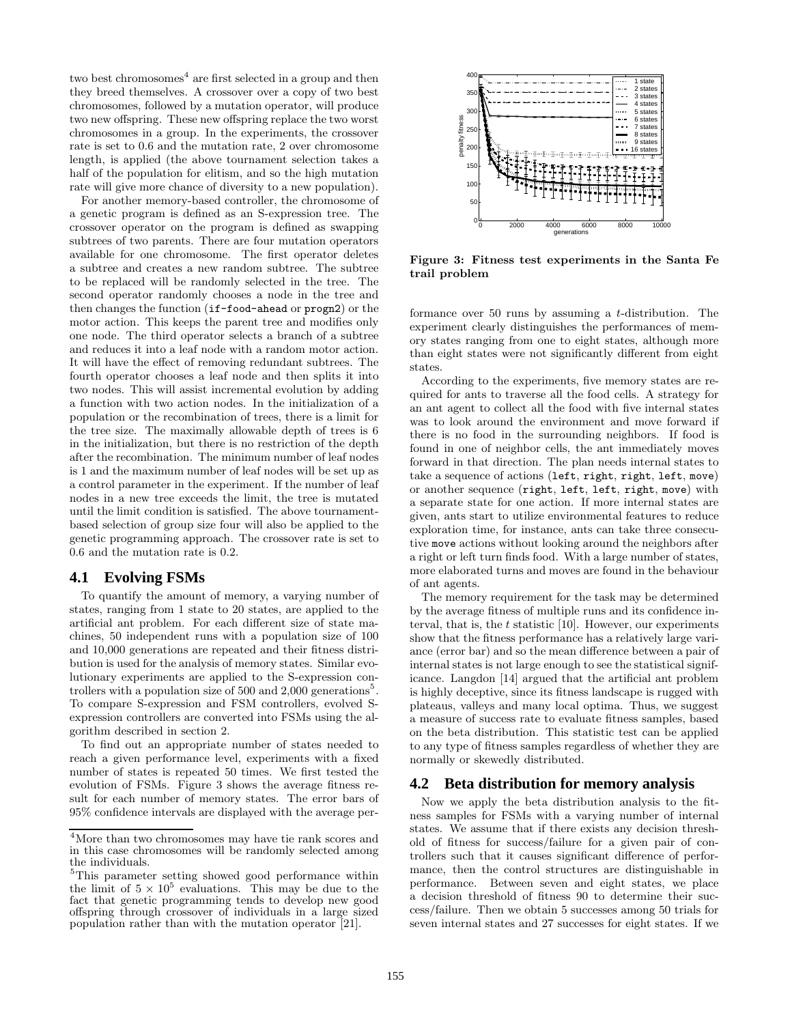two best chromosomes<sup>4</sup> are first selected in a group and then they breed themselves. A crossover over a copy of two best chromosomes, followed by a mutation operator, will produce two new offspring. These new offspring replace the two worst chromosomes in a group. In the experiments, the crossover rate is set to 0.6 and the mutation rate, 2 over chromosome length, is applied (the above tournament selection takes a half of the population for elitism, and so the high mutation rate will give more chance of diversity to a new population).

For another memory-based controller, the chromosome of a genetic program is defined as an S-expression tree. The crossover operator on the program is defined as swapping subtrees of two parents. There are four mutation operators available for one chromosome. The first operator deletes a subtree and creates a new random subtree. The subtree to be replaced will be randomly selected in the tree. The second operator randomly chooses a node in the tree and then changes the function (if-food-ahead or progn2) or the motor action. This keeps the parent tree and modifies only one node. The third operator selects a branch of a subtree and reduces it into a leaf node with a random motor action. It will have the effect of removing redundant subtrees. The fourth operator chooses a leaf node and then splits it into two nodes. This will assist incremental evolution by adding a function with two action nodes. In the initialization of a population or the recombination of trees, there is a limit for the tree size. The maximally allowable depth of trees is 6 in the initialization, but there is no restriction of the depth after the recombination. The minimum number of leaf nodes is 1 and the maximum number of leaf nodes will be set up as a control parameter in the experiment. If the number of leaf nodes in a new tree exceeds the limit, the tree is mutated until the limit condition is satisfied. The above tournamentbased selection of group size four will also be applied to the genetic programming approach. The crossover rate is set to 0.6 and the mutation rate is 0.2.

#### **4.1 Evolving FSMs**

To quantify the amount of memory, a varying number of states, ranging from 1 state to 20 states, are applied to the artificial ant problem. For each different size of state machines, 50 independent runs with a population size of 100 and 10,000 generations are repeated and their fitness distribution is used for the analysis of memory states. Similar evolutionary experiments are applied to the S-expression controllers with a population size of 500 and  $2,000$  generations<sup>5</sup>. To compare S-expression and FSM controllers, evolved Sexpression controllers are converted into FSMs using the algorithm described in section 2.

To find out an appropriate number of states needed to reach a given performance level, experiments with a fixed number of states is repeated 50 times. We first tested the evolution of FSMs. Figure 3 shows the average fitness result for each number of memory states. The error bars of 95% confidence intervals are displayed with the average per-



**Figure 3: Fitness test experiments in the Santa Fe trail problem**

formance over 50 runs by assuming a t-distribution. The experiment clearly distinguishes the performances of memory states ranging from one to eight states, although more than eight states were not significantly different from eight states.

According to the experiments, five memory states are required for ants to traverse all the food cells. A strategy for an ant agent to collect all the food with five internal states was to look around the environment and move forward if there is no food in the surrounding neighbors. If food is found in one of neighbor cells, the ant immediately moves forward in that direction. The plan needs internal states to take a sequence of actions (left, right, right, left, move) or another sequence (right, left, left, right, move) with a separate state for one action. If more internal states are given, ants start to utilize environmental features to reduce exploration time, for instance, ants can take three consecutive move actions without looking around the neighbors after a right or left turn finds food. With a large number of states, more elaborated turns and moves are found in the behaviour of ant agents.

The memory requirement for the task may be determined by the average fitness of multiple runs and its confidence interval, that is, the  $t$  statistic [10]. However, our experiments show that the fitness performance has a relatively large variance (error bar) and so the mean difference between a pair of internal states is not large enough to see the statistical significance. Langdon [14] argued that the artificial ant problem is highly deceptive, since its fitness landscape is rugged with plateaus, valleys and many local optima. Thus, we suggest a measure of success rate to evaluate fitness samples, based on the beta distribution. This statistic test can be applied to any type of fitness samples regardless of whether they are normally or skewedly distributed.

#### **4.2 Beta distribution for memory analysis**

Now we apply the beta distribution analysis to the fitness samples for FSMs with a varying number of internal states. We assume that if there exists any decision threshold of fitness for success/failure for a given pair of controllers such that it causes significant difference of performance, then the control structures are distinguishable in performance. Between seven and eight states, we place a decision threshold of fitness 90 to determine their success/failure. Then we obtain 5 successes among 50 trials for seven internal states and 27 successes for eight states. If we

 ${}^{4}\mathrm{More}$  than two chromosomes may have tie rank scores and in this case chromosomes will be randomly selected among the individuals.

<sup>5</sup>This parameter setting showed good performance within the limit of  $5 \times 10^5$  evaluations. This may be due to the fact that genetic programming tends to develop new good offspring through crossover of individuals in a large sized population rather than with the mutation operator [21].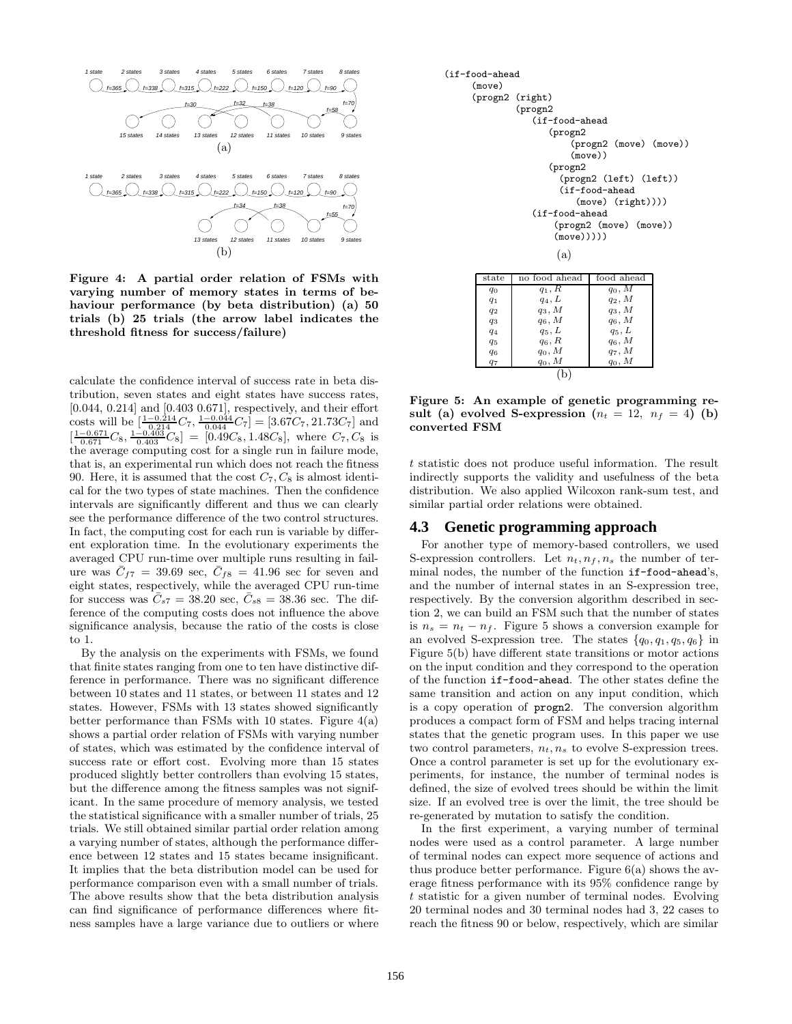

**Figure 4: A partial order relation of FSMs with varying number of memory states in terms of behaviour performance (by beta distribution) (a) 50 trials (b) 25 trials (the arrow label indicates the threshold fitness for success/failure)**

calculate the confidence interval of success rate in beta distribution, seven states and eight states have success rates, [0.044, 0.214] and [0.403 0.671], respectively, and their effort costs will be  $\left[\frac{1-0.214}{0.214}C_7, \frac{1-0.044}{0.044}C_7\right] = \left[3.67C_7, 21.73C_7\right]$  and  $\left[\frac{1-0.671}{0.671}C_8, \frac{1-0.403}{0.403}C_8\right] = \left[0.49C_8, 1.48C_8\right], \text{ where } C_7, C_8 \text{ is }$ the average computing cost for a single run in failure mode, that is, an experimental run which does not reach the fitness 90. Here, it is assumed that the cost  $C_7, C_8$  is almost identical for the two types of state machines. Then the confidence intervals are significantly different and thus we can clearly see the performance difference of the two control structures. In fact, the computing cost for each run is variable by different exploration time. In the evolutionary experiments the averaged CPU run-time over multiple runs resulting in failure was  $\overline{C}_{f7} = 39.69$  sec,  $\overline{C}_{f8} = 41.96$  sec for seven and eight states, respectively, while the averaged CPU run-time for success was  $\overline{C}_{s7} = 38.20$  sec,  $\overline{C}_{s8} = 38.36$  sec. The difference of the computing costs does not influence the above significance analysis, because the ratio of the costs is close to 1.

By the analysis on the experiments with FSMs, we found that finite states ranging from one to ten have distinctive difference in performance. There was no significant difference between 10 states and 11 states, or between 11 states and 12 states. However, FSMs with 13 states showed significantly better performance than FSMs with 10 states. Figure 4(a) shows a partial order relation of FSMs with varying number of states, which was estimated by the confidence interval of success rate or effort cost. Evolving more than 15 states produced slightly better controllers than evolving 15 states, but the difference among the fitness samples was not significant. In the same procedure of memory analysis, we tested the statistical significance with a smaller number of trials, 25 trials. We still obtained similar partial order relation among a varying number of states, although the performance difference between 12 states and 15 states became insignificant. It implies that the beta distribution model can be used for performance comparison even with a small number of trials. The above results show that the beta distribution analysis can find significance of performance differences where fitness samples have a large variance due to outliers or where



**Figure 5: An example of genetic programming re**sult (a) evolved S-expression  $(n_t = 12, n_f = 4)$  (b) **converted FSM**

t statistic does not produce useful information. The result indirectly supports the validity and usefulness of the beta distribution. We also applied Wilcoxon rank-sum test, and similar partial order relations were obtained.

#### **4.3 Genetic programming approach**

For another type of memory-based controllers, we used S-expression controllers. Let  $n_t, n_f, n_s$  the number of terminal nodes, the number of the function  $if$ -food-ahead's, and the number of internal states in an S-expression tree, respectively. By the conversion algorithm described in section 2, we can build an FSM such that the number of states is  $n_s = n_t - n_f$ . Figure 5 shows a conversion example for an evolved S-expression tree. The states  ${q_0, q_1, q_5, q_6}$  in Figure 5(b) have different state transitions or motor actions on the input condition and they correspond to the operation of the function if-food-ahead. The other states define the same transition and action on any input condition, which is a copy operation of progn2. The conversion algorithm produces a compact form of FSM and helps tracing internal states that the genetic program uses. In this paper we use two control parameters,  $n_t$ ,  $n_s$  to evolve S-expression trees. Once a control parameter is set up for the evolutionary experiments, for instance, the number of terminal nodes is defined, the size of evolved trees should be within the limit size. If an evolved tree is over the limit, the tree should be re-generated by mutation to satisfy the condition.

In the first experiment, a varying number of terminal nodes were used as a control parameter. A large number of terminal nodes can expect more sequence of actions and thus produce better performance. Figure 6(a) shows the average fitness performance with its 95% confidence range by t statistic for a given number of terminal nodes. Evolving 20 terminal nodes and 30 terminal nodes had 3, 22 cases to reach the fitness 90 or below, respectively, which are similar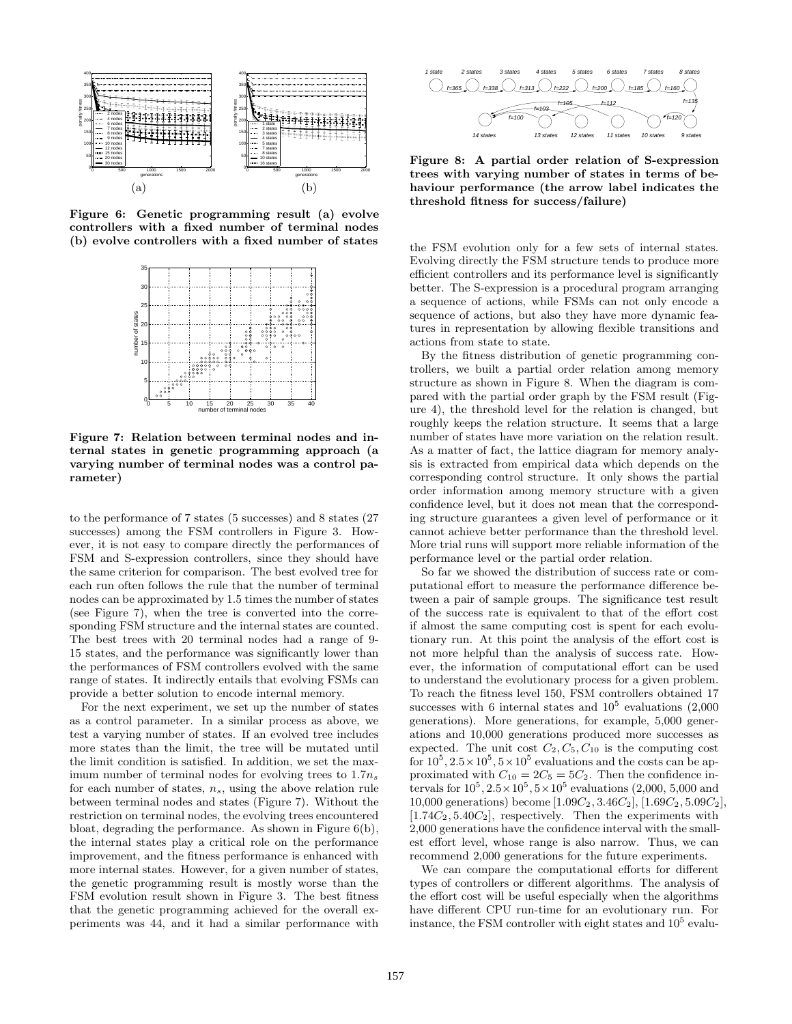

**Figure 6: Genetic programming result (a) evolve controllers with a fixed number of terminal nodes (b) evolve controllers with a fixed number of states**



**Figure 7: Relation between terminal nodes and internal states in genetic programming approach (a varying number of terminal nodes was a control parameter)**

to the performance of 7 states (5 successes) and 8 states (27 successes) among the FSM controllers in Figure 3. However, it is not easy to compare directly the performances of FSM and S-expression controllers, since they should have the same criterion for comparison. The best evolved tree for each run often follows the rule that the number of terminal nodes can be approximated by 1.5 times the number of states (see Figure 7), when the tree is converted into the corresponding FSM structure and the internal states are counted. The best trees with 20 terminal nodes had a range of 9- 15 states, and the performance was significantly lower than the performances of FSM controllers evolved with the same range of states. It indirectly entails that evolving FSMs can provide a better solution to encode internal memory.

For the next experiment, we set up the number of states as a control parameter. In a similar process as above, we test a varying number of states. If an evolved tree includes more states than the limit, the tree will be mutated until the limit condition is satisfied. In addition, we set the maximum number of terminal nodes for evolving trees to  $1.7n_s$ for each number of states,  $n_s$ , using the above relation rule between terminal nodes and states (Figure 7). Without the restriction on terminal nodes, the evolving trees encountered bloat, degrading the performance. As shown in Figure 6(b), the internal states play a critical role on the performance improvement, and the fitness performance is enhanced with more internal states. However, for a given number of states, the genetic programming result is mostly worse than the FSM evolution result shown in Figure 3. The best fitness that the genetic programming achieved for the overall experiments was 44, and it had a similar performance with



**Figure 8: A partial order relation of S-expression trees with varying number of states in terms of behaviour performance (the arrow label indicates the threshold fitness for success/failure)**

the FSM evolution only for a few sets of internal states. Evolving directly the FSM structure tends to produce more efficient controllers and its performance level is significantly better. The S-expression is a procedural program arranging a sequence of actions, while FSMs can not only encode a sequence of actions, but also they have more dynamic features in representation by allowing flexible transitions and actions from state to state.

By the fitness distribution of genetic programming controllers, we built a partial order relation among memory structure as shown in Figure 8. When the diagram is compared with the partial order graph by the FSM result (Figure 4), the threshold level for the relation is changed, but roughly keeps the relation structure. It seems that a large number of states have more variation on the relation result. As a matter of fact, the lattice diagram for memory analysis is extracted from empirical data which depends on the corresponding control structure. It only shows the partial order information among memory structure with a given confidence level, but it does not mean that the corresponding structure guarantees a given level of performance or it cannot achieve better performance than the threshold level. More trial runs will support more reliable information of the performance level or the partial order relation.

So far we showed the distribution of success rate or computational effort to measure the performance difference between a pair of sample groups. The significance test result of the success rate is equivalent to that of the effort cost if almost the same computing cost is spent for each evolutionary run. At this point the analysis of the effort cost is not more helpful than the analysis of success rate. However, the information of computational effort can be used to understand the evolutionary process for a given problem. To reach the fitness level 150, FSM controllers obtained 17 successes with 6 internal states and  $10^5$  evaluations  $(2,000)$ generations). More generations, for example, 5,000 generations and 10,000 generations produced more successes as expected. The unit cost  $C_2, C_5, C_{10}$  is the computing cost for  $10^5$ ,  $2.5 \times 10^5$ ,  $5 \times 10^5$  evaluations and the costs can be approximated with  $C_{10} = 2C_5 = 5C_2$ . Then the confidence intervals for  $10^5$ ,  $2.5 \times 10^5$ ,  $5 \times 10^5$  evaluations (2,000, 5,000 and 10,000 generations) become  $[1.09C_2, 3.46C_2]$ ,  $[1.69C_2, 5.09C_2]$ ,  $[1.74C_2, 5.40C_2]$ , respectively. Then the experiments with 2,000 generations have the confidence interval with the smallest effort level, whose range is also narrow. Thus, we can recommend 2,000 generations for the future experiments.

We can compare the computational efforts for different types of controllers or different algorithms. The analysis of the effort cost will be useful especially when the algorithms have different CPU run-time for an evolutionary run. For instance, the FSM controller with eight states and  $10<sup>5</sup>$  evalu-